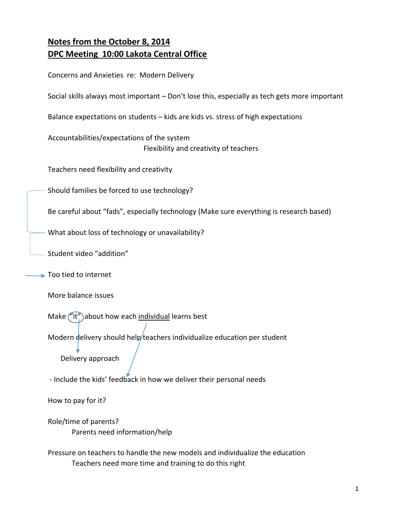# **Notes from the October 8, 2014 DPC Meeting 10:00 Lakota Central Office**

| Concerns and Anxieties re: Modern Delivery                                                    |
|-----------------------------------------------------------------------------------------------|
| Social skills always most important - Don't lose this, especially as tech gets more important |
| Balance expectations on students - kids are kids vs. stress of high expectations              |
| Accountabilities/expectations of the system<br>Flexibility and creativity of teachers         |
| Teachers need flexibility and creativity                                                      |
| Should families be forced to use technology?                                                  |
| Be careful about "fads", especially technology (Make sure everything is research based)       |
| What about loss of technology or unavailability?                                              |
| Student video "addition"                                                                      |
| Too tied to internet                                                                          |
| More balance issues                                                                           |
| Make ("it") about how each individual learns best                                             |
| Modern delivery should help/teachers individualize education per student<br>Delivery approach |
| - Include the kids' feedback in how we deliver their personal needs                           |

How to pay for it?

Role/time of parents? Parents need information/help

Pressure on teachers to handle the new models and individualize the education Teachers need more time and training to do this right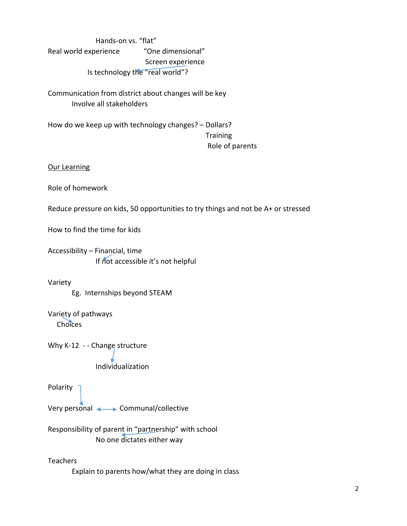Hands‐on vs. "flat" Real world experience "One dimensional" Screen experience Is technology the "real world"?

Communication from district about changes will be key Involve all stakeholders

How do we keep up with technology changes? – Dollars? **Training** Role of parents

## Our Learning

Role of homework

Reduce pressure on kids, 50 opportunities to try things and not be A+ or stressed

How to find the time for kids

Accessibility – Financial, time If not accessible it's not helpful

## Variety

Eg. Internships beyond STEAM

Variety of pathways **Choices** 

Why K-12 - - Change structure

Individualization

Polarity<sup>-</sup>

Very personal Communal/collective

Responsibility of parent in "partnership" with school No one dictates either way

**Teachers** 

Explain to parents how/what they are doing in class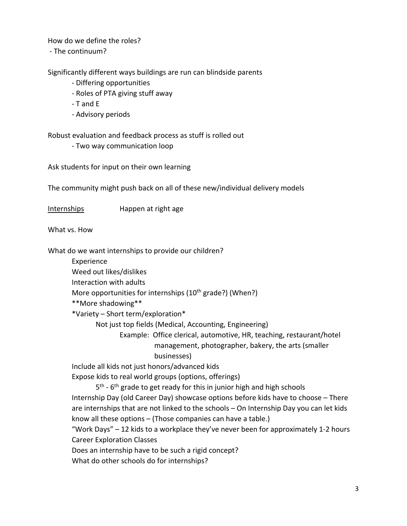How do we define the roles?

‐ The continuum?

Significantly different ways buildings are run can blindside parents

- ‐ Differing opportunities
- ‐ Roles of PTA giving stuff away
- ‐ T and E
- ‐ Advisory periods

Robust evaluation and feedback process as stuff is rolled out

‐ Two way communication loop

Ask students for input on their own learning

The community might push back on all of these new/individual delivery models

Internships **Happen at right age** 

What vs. How

What do we want internships to provide our children?

Experience

Weed out likes/dislikes

Interaction with adults

More opportunities for internships  $(10<sup>th</sup> grade?)$  (When?)

\*\*More shadowing\*\*

\*Variety – Short term/exploration\*

Not just top fields (Medical, Accounting, Engineering)

 Example: Office clerical, automotive, HR, teaching, restaurant/hotel management, photographer, bakery, the arts (smaller

businesses)

Include all kids not just honors/advanced kids

Expose kids to real world groups (options, offerings)

5<sup>th</sup> - 6<sup>th</sup> grade to get ready for this in junior high and high schools Internship Day (old Career Day) showcase options before kids have to choose – There are internships that are not linked to the schools – On Internship Day you can let kids know all these options – (Those companies can have a table.)

"Work Days" – 12 kids to a workplace they've never been for approximately 1‐2 hours Career Exploration Classes

Does an internship have to be such a rigid concept?

What do other schools do for internships?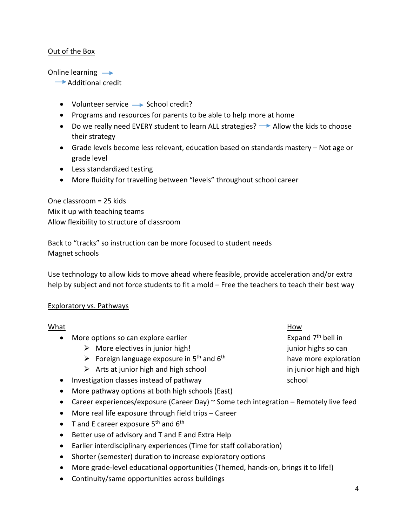# Out of the Box

Online learning  $\rightarrow$ 

- Additional credit
- Volunteer service  $\rightarrow$  School credit?
- Programs and resources for parents to be able to help more at home
- $\bullet$  Do we really need EVERY student to learn ALL strategies?  $\rightarrow$  Allow the kids to choose their strategy
- Grade levels become less relevant, education based on standards mastery Not age or grade level
- Less standardized testing
- More fluidity for travelling between "levels" throughout school career

One classroom = 25 kids Mix it up with teaching teams Allow flexibility to structure of classroom

Back to "tracks" so instruction can be more focused to student needs Magnet schools

Use technology to allow kids to move ahead where feasible, provide acceleration and/or extra help by subject and not force students to fit a mold – Free the teachers to teach their best way

## Exploratory vs. Pathways

| What      |                                                                                       | How                            |  |
|-----------|---------------------------------------------------------------------------------------|--------------------------------|--|
| $\bullet$ | More options so can explore earlier                                                   | Expand 7 <sup>th</sup> bell in |  |
|           | More electives in junior high!<br>➤                                                   | junior highs so can            |  |
|           | $\triangleright$ Foreign language exposure in 5 <sup>th</sup> and 6 <sup>th</sup>     | have more exploration          |  |
|           | $\triangleright$ Arts at junior high and high school                                  | in junior high and high        |  |
|           | Investigation classes instead of pathway                                              | school                         |  |
|           | More pathway options at both high schools (East)                                      |                                |  |
|           | Career experiences/exposure (Career Day) ~ Some tech integration - Remotely live feed |                                |  |

- More real life exposure through field trips Career
- $\bullet$  T and E career exposure 5<sup>th</sup> and 6<sup>th</sup>
- Better use of advisory and T and E and Extra Help
- Earlier interdisciplinary experiences (Time for staff collaboration)
- Shorter (semester) duration to increase exploratory options
- More grade-level educational opportunities (Themed, hands-on, brings it to life!)
- Continuity/same opportunities across buildings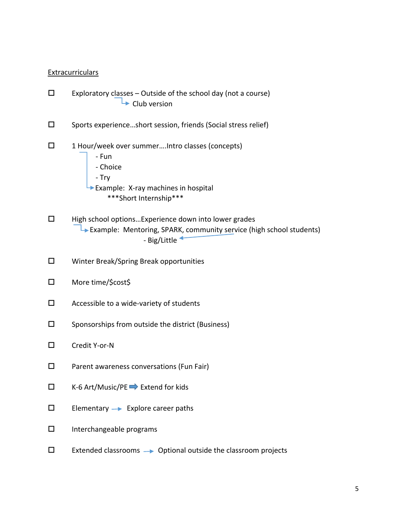#### Extracurriculars

- $\square$  Exploratory classes Outside of the school day (not a course)  $\rightarrow$  Club version
- $\square$  Sports experience...short session, friends (Social stress relief)
- $\Box$  1 Hour/week over summer.... Intro classes (concepts)
	- ‐ Fun ‐ Choice ‐ Try Example: X-ray machines in hospital \*\*\*Short Internship\*\*\*
- $\Box$  High school options...Experience down into lower grades Example: Mentoring, SPARK, community service (high school students) ‐ Big/Little
- Winter Break/Spring Break opportunities
- More time/\$cost\$
- Accessible to a wide‐variety of students
- $\square$  Sponsorships from outside the district (Business)
- Credit Y‐or‐N
- □ Parent awareness conversations (Fun Fair)
- $\square$  K-6 Art/Music/PE  $\blacktriangleright$  Extend for kids
- $\square$  Elementary  $\rightarrow$  Explore career paths
- $\square$  Interchangeable programs
- $\square$  Extended classrooms  $\rightarrow$  Optional outside the classroom projects